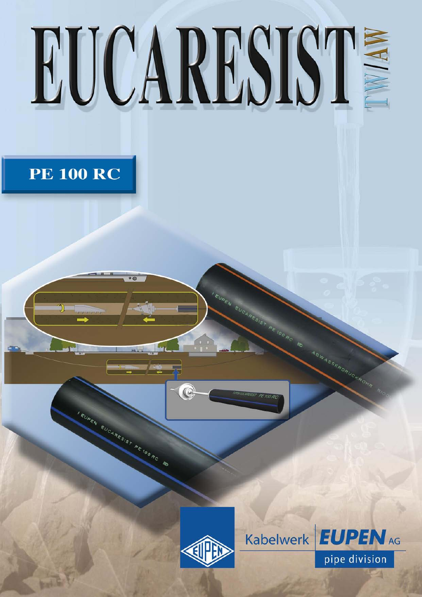# EUCARESIST

**PE 100 RC** 

 $\overline{\circ}$ 



EUPEN EUCARESIST

**PETOO RD** 



**EUPEN AG Kabelwerk** pipe division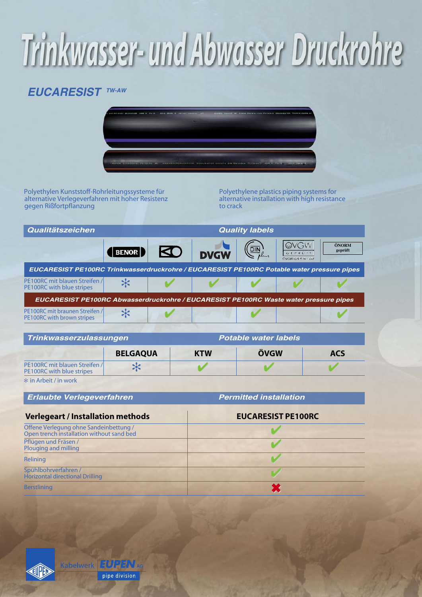## Trinkwasser- und Abwasser Druckrohre

#### *EUCARESIST TW-AW*



Polyethylen Kunststoff-Rohrleitungssysteme für alternative Verlegeverfahren mit hoher Resistenz gegen Rißfortpflanzung

Polyethylene plastics piping systems for alternative installation with high resistance to crack

| Qualitätszeichen                                                                           |                 | <b>Quality labels</b> |             |                             |                                            |                  |
|--------------------------------------------------------------------------------------------|-----------------|-----------------------|-------------|-----------------------------|--------------------------------------------|------------------|
|                                                                                            | BENOR           | KI)                   | <b>DVGW</b> |                             | <b>OVGW</b><br>GEPRÜFT<br>OVGW-GRIS W1.448 | ÖNORM<br>geprüft |
| EUCARESIST PE100RC Trinkwasserdruckrohre / EUCARESIST PE100RC Potable water pressure pipes |                 |                       |             |                             |                                            |                  |
| PE100RC mit blauen Streifen /<br>PE100RC with blue stripes                                 | ⋇               |                       |             |                             |                                            |                  |
| EUCARESIST PE100RC Abwasserdruckrohre / EUCARESIST PE100RC Waste water pressure pipes      |                 |                       |             |                             |                                            |                  |
| PE100RC mit braunen Streifen /<br>PE100RC with brown stripes                               | ☆               |                       |             |                             |                                            |                  |
| Trinkwasserzulassungen                                                                     |                 |                       |             | <b>Potable water labels</b> |                                            |                  |
|                                                                                            | <b>BELGAQUA</b> |                       | KTW         | ÖVGW                        |                                            | <b>ACS</b>       |

|                                                                          | <b>BELGAQUA</b> | KTW | ÖVGW | AC |
|--------------------------------------------------------------------------|-----------------|-----|------|----|
| <b>PE100RC</b> mit blauen Streifen /<br><b>PE100RC</b> with blue stripes |                 |     |      |    |

in Arbeit / in work

*Erlaubte Verlegeverfahren Permitted installation*

| <b>Verlegeart / Installation methods</b>                                            | <b>EUCARESIST PE100RC</b> |  |  |
|-------------------------------------------------------------------------------------|---------------------------|--|--|
| Offene Verlegung ohne Sandeinbettung /<br>Open trench installation without sand bed |                           |  |  |
| Pflügen und Fräsen /<br>Plouging and milling                                        |                           |  |  |
| Relining                                                                            |                           |  |  |
| Spühlbohrverfahren /<br><b>Horizontal directional Drilling</b>                      |                           |  |  |
| <b>Berstlining</b>                                                                  |                           |  |  |

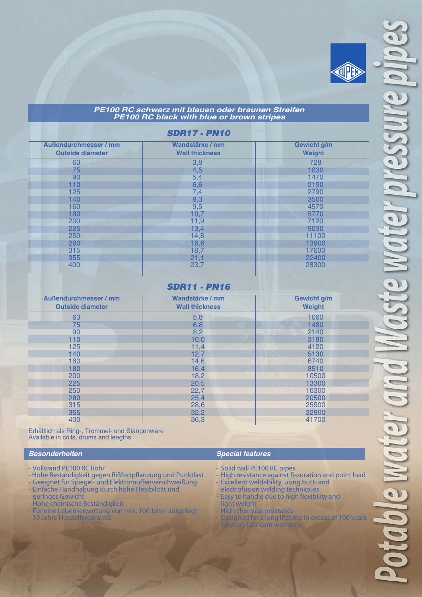

#### *PE100 RC schwarz mit blauen oder braunen Streifen PE100 RC black with blue or brown stripes*

#### *SDR17 - PN10*

| <b>Außendurchmesser / mm</b> | Wandstärke / mm       | <b>Gewicht g/m</b> |
|------------------------------|-----------------------|--------------------|
| <b>Outside diameter</b>      | <b>Wall thickness</b> | Weight             |
| 63                           | 3,8                   | 728                |
| 75                           | 4,5                   | 1030               |
| 90                           | 5,4                   | 1470               |
| 110                          | 6,6                   | 2190               |
| 125                          | 7,4                   | 2790               |
| 140                          | 8,3                   | 3500               |
| 160                          | 9,5                   | 4570               |
| 180                          | 10,7                  | 5770               |
| 200                          | 11,9                  | 7120               |
| 225                          | 13,4                  | 9030               |
| 250                          | 14,8                  | 11100              |
| 280                          | 16,6                  | 13900              |
| 315                          | 18,7                  | 17600              |
| 355                          | 21,1                  | 22400              |
| 400                          | 23,7                  | 28300              |
|                              |                       |                    |

#### *SDR11 - PN16*

ı

| <b>Außendurchmesser / mm</b><br><b>Outside diameter</b> | Wandstärke / mm<br><b>Wall thickness</b> | Gewicht g/m<br>Weight |
|---------------------------------------------------------|------------------------------------------|-----------------------|
| 63                                                      | 5,8                                      | 1060                  |
| 75                                                      | 6,8                                      | 1480                  |
| 90                                                      | 8,2                                      | 2140                  |
| 110                                                     | 10,0                                     | 3180                  |
| 125                                                     | 11,4                                     | 4120                  |
| 140                                                     | 12,7                                     | 5130                  |
| 160                                                     | 14,6                                     | 6740                  |
| 180                                                     | 16,4                                     | 8510                  |
| 200                                                     | 18,2                                     | 10500                 |
| 225                                                     | 20,5                                     | 13300                 |
| 250                                                     | 22,7                                     | 16300                 |
| 280                                                     | 25,4                                     | 20500                 |
| 315                                                     | 28,6                                     | 25900                 |
| 355                                                     | 32,2                                     | 32900                 |
| 400                                                     | 36,3                                     | 41700                 |

Erhältlich als Ring-, Trommel- und Stangenware Available in coils, drums and lengths

#### *Besonderheiten*

- Vollwand PE100 RC Rohr
- Hohe Beständigkeit gegen Rißfortpflanzung und Punktlast
- Geeignet für Spiegel- und Elektromuffenverschweißung - Einfache Handhabung durch hohe Flexibilität und geringes Gewicht
- Hohe chemische Beständigkeit
- Für eine Lebenserwartung von min. 100 Jahre ausgelegt
- 10 Jahre Herstellergarantie

#### *Special features*

- Solid wall PE100 RC pipes
- High resistance against fissuration and point load
- Excellent weldability, using butt- and electrofusion welding techniques
- Easy to handle due to high flexibility and
- light weight
- High chemical resistance
- Designed for a long lifetime in excess of 100 years ears fabricant warrant

m